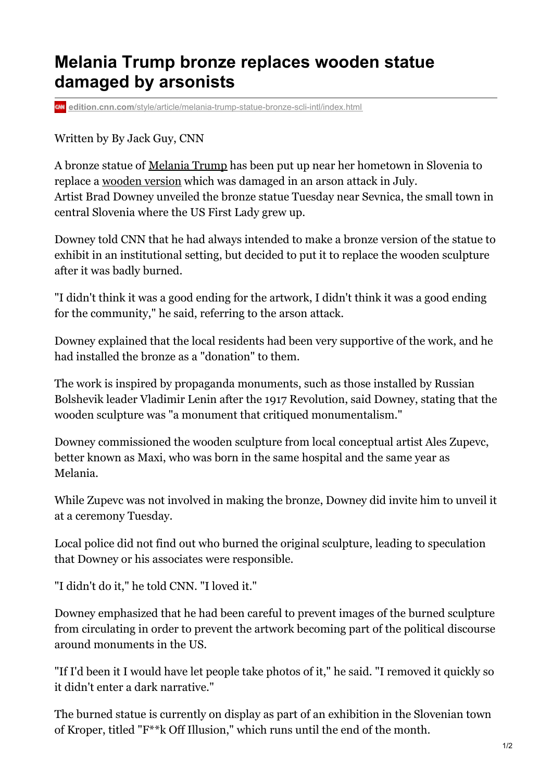## **Melania Trump bronze replaces wooden statue damaged by arsonists**

**edition.cnn.com**[/style/article/melania-trump-statue-bronze-scli-intl/index.html](https://edition.cnn.com/style/article/melania-trump-statue-bronze-scli-intl/index.html)

Written by By Jack Guy, CNN

A bronze statue of [Melania](https://cnn.com/2020/09/02/politics/melania-trump-private-email-wolkoff-cnntv/index.html) Trump has been put up near her hometown in Slovenia to replace a [wooden](https://cnn.com/style/article/melania-trump-statue-slovenia-removed-scli-intl/index.html) version which was damaged in an arson attack in July. Artist Brad Downey unveiled the bronze statue Tuesday near Sevnica, the small town in central Slovenia where the US First Lady grew up.

Downey told CNN that he had always intended to make a bronze version of the statue to exhibit in an institutional setting, but decided to put it to replace the wooden sculpture after it was badly burned.

"I didn't think it was a good ending for the artwork, I didn't think it was a good ending for the community," he said, referring to the arson attack.

Downey explained that the local residents had been very supportive of the work, and he had installed the bronze as a "donation" to them.

The work is inspired by propaganda monuments, such as those installed by Russian Bolshevik leader Vladimir Lenin after the 1917 Revolution, said Downey, stating that the wooden sculpture was "a monument that critiqued monumentalism."

Downey commissioned the wooden sculpture from local conceptual artist Ales Zupevc, better known as Maxi, who was born in the same hospital and the same year as Melania.

While Zupevc was not involved in making the bronze, Downey did invite him to unveil it at a ceremony Tuesday.

Local police did not find out who burned the original sculpture, leading to speculation that Downey or his associates were responsible.

"I didn't do it," he told CNN. "I loved it."

Downey emphasized that he had been careful to prevent images of the burned sculpture from circulating in order to prevent the artwork becoming part of the political discourse around monuments in the US.

"If I'd been it I would have let people take photos of it," he said. "I removed it quickly so it didn't enter a dark narrative."

The burned statue is currently on display as part of an exhibition in the Slovenian town of Kroper, titled "F\*\*k Off Illusion," which runs until the end of the month.